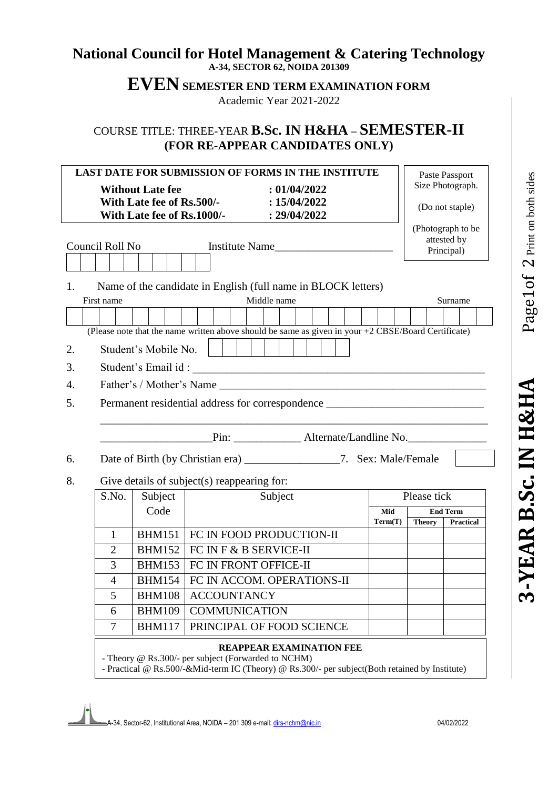# Page1of 2 Print on both sides  $1$  Of  $\,2$  Print on both sides **-YEAR B.Sc. IN H&HA** Page

3-YEAR B.Sc. IN H&HA

## **National Council for Hotel Management & Catering Technology A-34, SECTOR 62, NOIDA 201309**

**EVEN SEMESTER END TERM EXAMINATION FORM**

Academic Year 2021-2022

# COURSE TITLE: THREE-YEAR **B.Sc. IN H&HA – SEMESTER-II (FOR RE-APPEAR CANDIDATES ONLY)**

| <b>Without Late fee</b><br>: 01/04/2022<br>With Late fee of Rs.500/-<br>: 15/04/2022<br>With Late fee of Rs.1000/- : 29/04/2022 | <b>LAST DATE FOR SUBMISSION OF FORMS IN THE INSTITUTE</b> |               | Paste Passport<br>Size Photograph.<br>(Do not staple) |
|---------------------------------------------------------------------------------------------------------------------------------|-----------------------------------------------------------|---------------|-------------------------------------------------------|
| Council Roll No<br>Institute Name                                                                                               |                                                           |               | (Photograph to be<br>attested by<br>Principal)        |
| Name of the candidate in English (full name in BLOCK letters)<br>1.                                                             |                                                           |               |                                                       |
| Middle name<br>First name                                                                                                       |                                                           |               | Surname                                               |
|                                                                                                                                 |                                                           |               |                                                       |
| (Please note that the name written above should be same as given in your $+2$ CBSE/Board Certificate)                           |                                                           |               |                                                       |
| Student's Mobile No.<br>2.                                                                                                      |                                                           |               |                                                       |
| 3.                                                                                                                              |                                                           |               |                                                       |
| 4.                                                                                                                              |                                                           |               |                                                       |
|                                                                                                                                 |                                                           |               |                                                       |
| Permanent residential address for correspondence _______________________________<br>5.                                          |                                                           |               |                                                       |
| Pin: __________________ Alternate/Landline No.                                                                                  |                                                           |               |                                                       |
| Date of Birth (by Christian era) _____________________7. Sex: Male/Female<br>6.                                                 |                                                           |               |                                                       |
| Give details of subject(s) reappearing for:<br>8.                                                                               |                                                           |               |                                                       |
| Subject<br>S.No.<br>Subject                                                                                                     |                                                           | Please tick   |                                                       |
| Code                                                                                                                            | Mid                                                       |               | <b>End Term</b>                                       |
|                                                                                                                                 | Term(T)                                                   | <b>Theory</b> | Practical                                             |
| FC IN FOOD PRODUCTION-II<br><b>BHM151</b><br>$\mathbf{1}$                                                                       |                                                           |               |                                                       |
| <b>BHM152</b><br>FC IN F & B SERVICE-II<br>$\overline{2}$                                                                       |                                                           |               |                                                       |
| 3<br><b>BHM153</b><br>FC IN FRONT OFFICE-II                                                                                     |                                                           |               |                                                       |
| <b>BHM154</b><br>FC IN ACCOM. OPERATIONS-II<br>$\overline{4}$                                                                   |                                                           |               |                                                       |
| <b>BHM108</b><br><b>ACCOUNTANCY</b><br>5                                                                                        |                                                           |               |                                                       |
|                                                                                                                                 |                                                           |               |                                                       |
| <b>BHM109</b><br><b>COMMUNICATION</b><br>6<br>7<br><b>BHM117</b><br>PRINCIPAL OF FOOD SCIENCE                                   |                                                           |               |                                                       |